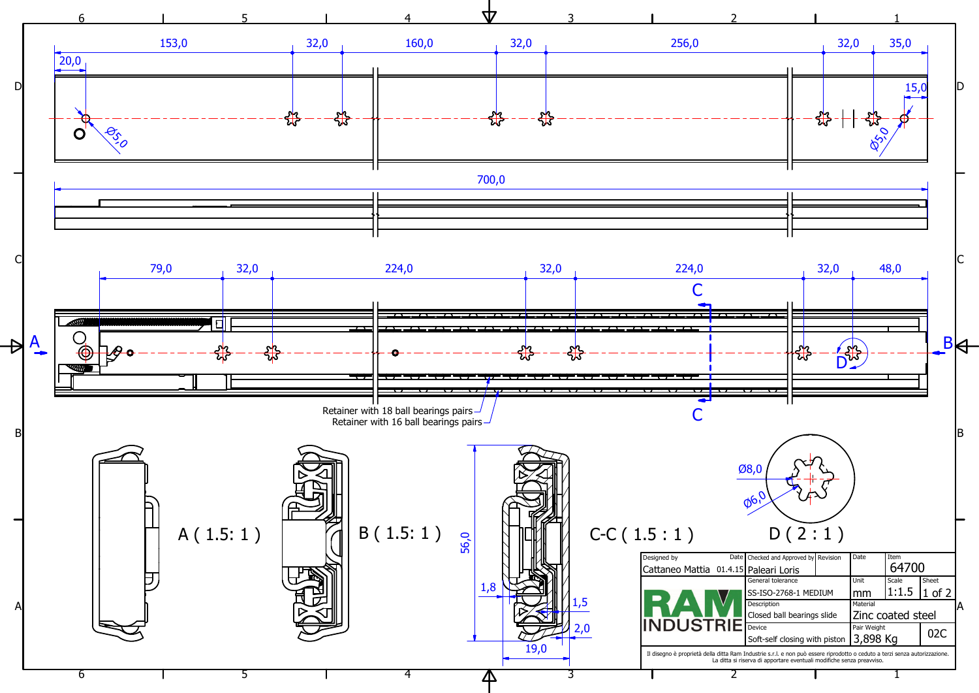